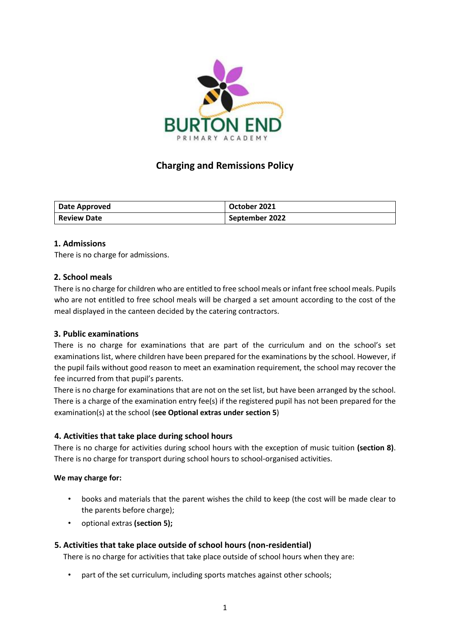

# **Charging and Remissions Policy**

| Date Approved      | October 2021   |
|--------------------|----------------|
| <b>Review Date</b> | September 2022 |

# **1. Admissions**

There is no charge for admissions.

#### **2. School meals**

There is no charge for children who are entitled to free school meals or infant free school meals. Pupils who are not entitled to free school meals will be charged a set amount according to the cost of the meal displayed in the canteen decided by the catering contractors.

#### **3. Public examinations**

There is no charge for examinations that are part of the curriculum and on the school's set examinations list, where children have been prepared for the examinations by the school. However, if the pupil fails without good reason to meet an examination requirement, the school may recover the fee incurred from that pupil's parents.

There is no charge for examinations that are not on the set list, but have been arranged by the school. There is a charge of the examination entry fee(s) if the registered pupil has not been prepared for the examination(s) at the school (**see Optional extras under section 5**)

# **4. Activities that take place during school hours**

There is no charge for activities during school hours with the exception of music tuition **(section 8)**. There is no charge for transport during school hours to school-organised activities.

#### **We may charge for:**

- books and materials that the parent wishes the child to keep (the cost will be made clear to the parents before charge);
- optional extras **(section 5);**

# **5. Activities that take place outside of school hours (non-residential)**

There is no charge for activities that take place outside of school hours when they are:

part of the set curriculum, including sports matches against other schools;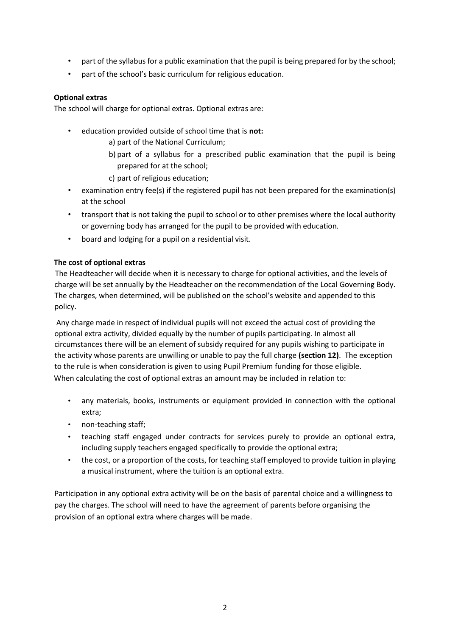- part of the syllabus for a public examination that the pupil is being prepared for by the school;
- part of the school's basic curriculum for religious education.

# **Optional extras**

The school will charge for optional extras. Optional extras are:

- education provided outside of school time that is **not:**
	- a) part of the National Curriculum;
	- b) part of a syllabus for a prescribed public examination that the pupil is being prepared for at the school;
	- c) part of religious education;
- examination entry fee(s) if the registered pupil has not been prepared for the examination(s) at the school
- transport that is not taking the pupil to school or to other premises where the local authority or governing body has arranged for the pupil to be provided with education*.*
- board and lodging for a pupil on a residential visit.

# **The cost of optional extras**

The Headteacher will decide when it is necessary to charge for optional activities, and the levels of charge will be set annually by the Headteacher on the recommendation of the Local Governing Body. The charges, when determined, will be published on the school's website and appended to this policy.

Any charge made in respect of individual pupils will not exceed the actual cost of providing the optional extra activity, divided equally by the number of pupils participating. In almost all circumstances there will be an element of subsidy required for any pupils wishing to participate in the activity whose parents are unwilling or unable to pay the full charge **(section 12)**. The exception to the rule is when consideration is given to using Pupil Premium funding for those eligible. When calculating the cost of optional extras an amount may be included in relation to:

- any materials, books, instruments or equipment provided in connection with the optional extra;
- non-teaching staff;
- teaching staff engaged under contracts for services purely to provide an optional extra, including supply teachers engaged specifically to provide the optional extra;
- the cost, or a proportion of the costs, for teaching staff employed to provide tuition in playing a musical instrument, where the tuition is an optional extra.

Participation in any optional extra activity will be on the basis of parental choice and a willingness to pay the charges. The school will need to have the agreement of parents before organising the provision of an optional extra where charges will be made.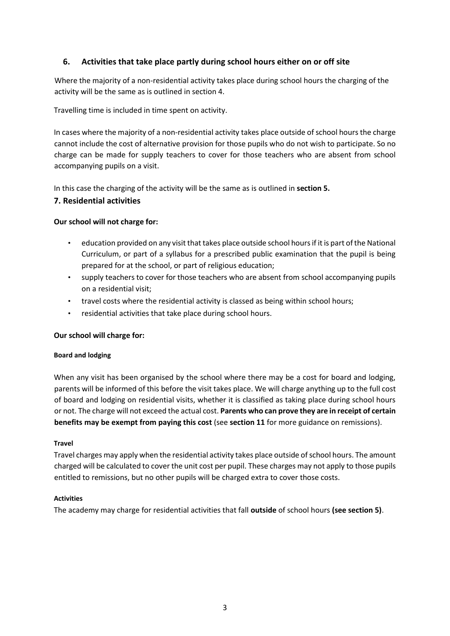# **6. Activities that take place partly during school hours either on or off site**

Where the majority of a non-residential activity takes place during school hours the charging of the activity will be the same as is outlined in section 4.

Travelling time is included in time spent on activity.

In cases where the majority of a non-residential activity takes place outside of school hours the charge cannot include the cost of alternative provision for those pupils who do not wish to participate. So no charge can be made for supply teachers to cover for those teachers who are absent from school accompanying pupils on a visit.

In this case the charging of the activity will be the same as is outlined in **section 5.** 

# **7. Residential activities**

#### **Our school will not charge for:**

- education provided on any visit that takes place outside school hours if it is part of the National Curriculum, or part of a syllabus for a prescribed public examination that the pupil is being prepared for at the school, or part of religious education;
- supply teachers to cover for those teachers who are absent from school accompanying pupils on a residential visit;
- travel costs where the residential activity is classed as being within school hours;
- residential activities that take place during school hours.

#### **Our school will charge for:**

#### **Board and lodging**

When any visit has been organised by the school where there may be a cost for board and lodging, parents will be informed of this before the visit takes place. We will charge anything up to the full cost of board and lodging on residential visits, whether it is classified as taking place during school hours or not. The charge will not exceed the actual cost. **Parents who can prove they are in receipt of certain benefits may be exempt from paying this cost** (see **section 11** for more guidance on remissions).

#### **Travel**

Travel charges may apply when the residential activity takes place outside of school hours. The amount charged will be calculated to cover the unit cost per pupil. These charges may not apply to those pupils entitled to remissions, but no other pupils will be charged extra to cover those costs.

#### **Activities**

The academy may charge for residential activities that fall **outside** of school hours **(see section 5)**.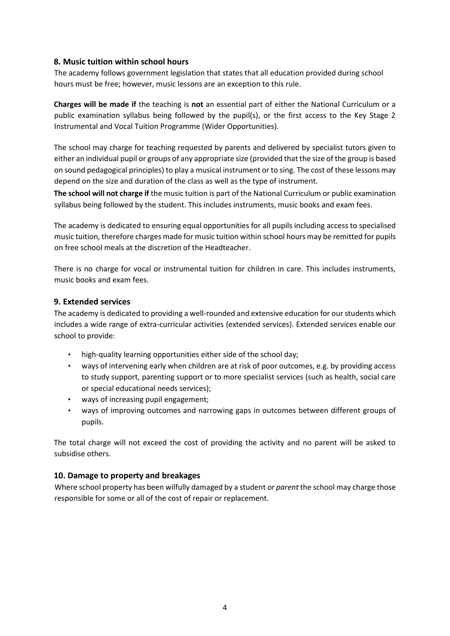# **8. Music tuition within school hours**

The academy follows government legislation that states that all education provided during school hours must be free; however, music lessons are an exception to this rule.

**Charges will be made if** the teaching is **not** an essential part of either the National Curriculum or a public examination syllabus being followed by the pupil(s), or the first access to the Key Stage 2 Instrumental and Vocal Tuition Programme (Wider Opportunities).

The school may charge for teaching requested by parents and delivered by specialist tutors given to either an individual pupil or groups of any appropriate size (provided that the size of the group is based on sound pedagogical principles) to play a musical instrument or to sing. The cost of these lessons may depend on the size and duration of the class as well as the type of instrument.

**The school will not charge if** the music tuition is part of the National Curriculum or public examination syllabus being followed by the student. This includes instruments, music books and exam fees.

The academy is dedicated to ensuring equal opportunities for all pupils including access to specialised music tuition, therefore charges made for music tuition within school hours may be remitted for pupils on free school meals at the discretion of the Headteacher.

There is no charge for vocal or instrumental tuition for children in care. This includes instruments, music books and exam fees.

# **9. Extended services**

The academy is dedicated to providing a well-rounded and extensive education for our students which includes a wide range of extra-curricular activities (extended services). Extended services enable our school to provide:

- high-quality learning opportunities either side of the school day;
- ways of intervening early when children are at risk of poor outcomes, e.g. by providing access to study support, parenting support or to more specialist services (such as health, social care or special educational needs services);
- ways of increasing pupil engagement;
- ways of improving outcomes and narrowing gaps in outcomes between different groups of pupils.

The total charge will not exceed the cost of providing the activity and no parent will be asked to subsidise others.

# **10. Damage to property and breakages**

Where school property has been wilfully damaged by a student *or parent* the school may charge those responsible for some or all of the cost of repair or replacement.